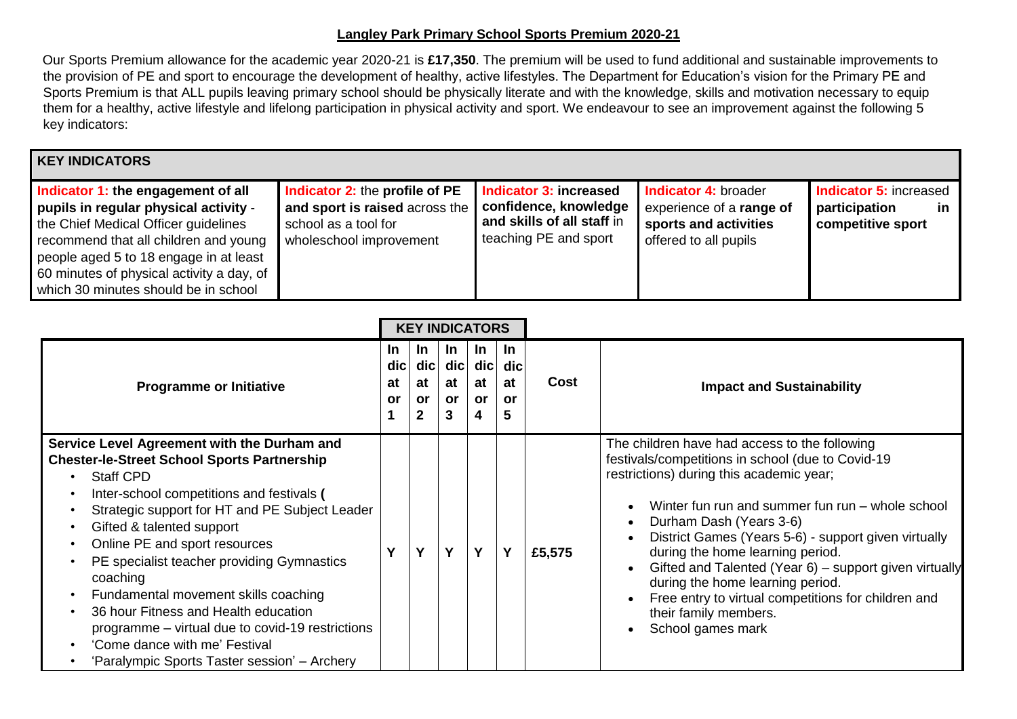## **Langley Park Primary School Sports Premium 2020-21**

Our Sports Premium allowance for the academic year 2020-21 is **£17,350**. The premium will be used to fund additional and sustainable improvements to the provision of PE and sport to encourage the development of healthy, active lifestyles. The Department for Education's vision for the Primary PE and Sports Premium is that ALL pupils leaving primary school should be physically literate and with the knowledge, skills and motivation necessary to equip them for a healthy, active lifestyle and lifelong participation in physical activity and sport. We endeavour to see an improvement against the following 5 key indicators:

## **KEY INDICATORS**

| Indicator 1: the engagement of all<br>pupils in regular physical activity -<br>the Chief Medical Officer guidelines<br>recommend that all children and young<br>people aged 5 to 18 engage in at least<br>60 minutes of physical activity a day, of<br>which 30 minutes should be in school | <b>Indicator 2: the profile of PE</b><br>and sport is raised across the<br>school as a tool for<br>wholeschool improvement | Indicator 3: increased<br>confidence, knowledge<br>and skills of all staff in<br>teaching PE and sport | <b>Indicator 4: broader</b><br>experience of a range of<br>sports and activities<br>offered to all pupils | <b>Indicator 5: increased</b><br>participation<br>in.<br>competitive sport |
|---------------------------------------------------------------------------------------------------------------------------------------------------------------------------------------------------------------------------------------------------------------------------------------------|----------------------------------------------------------------------------------------------------------------------------|--------------------------------------------------------------------------------------------------------|-----------------------------------------------------------------------------------------------------------|----------------------------------------------------------------------------|
|---------------------------------------------------------------------------------------------------------------------------------------------------------------------------------------------------------------------------------------------------------------------------------------------|----------------------------------------------------------------------------------------------------------------------------|--------------------------------------------------------------------------------------------------------|-----------------------------------------------------------------------------------------------------------|----------------------------------------------------------------------------|

|                                                                                                                                                                                                                                                                                                                                                                                                                                                                                                                                                                                                                                                                           | <b>KEY INDICATORS</b>                |                                 |                                             |                                                  |                                   |             |                                                                                                                                                                                                                                                                                                                                                                                                                                                                                                                              |
|---------------------------------------------------------------------------------------------------------------------------------------------------------------------------------------------------------------------------------------------------------------------------------------------------------------------------------------------------------------------------------------------------------------------------------------------------------------------------------------------------------------------------------------------------------------------------------------------------------------------------------------------------------------------------|--------------------------------------|---------------------------------|---------------------------------------------|--------------------------------------------------|-----------------------------------|-------------|------------------------------------------------------------------------------------------------------------------------------------------------------------------------------------------------------------------------------------------------------------------------------------------------------------------------------------------------------------------------------------------------------------------------------------------------------------------------------------------------------------------------------|
| <b>Programme or Initiative</b>                                                                                                                                                                                                                                                                                                                                                                                                                                                                                                                                                                                                                                            | <u>In</u><br>di <b>c</b><br>at<br>or | <u>In</u><br>$di$ c<br>at<br>or | <u>In</u><br>$\frac{1}{2}$<br>at<br>or<br>3 | <u>In</u><br>$ $ dic $ $<br>at<br><b>or</b><br>4 | <u>In</u><br>dic<br>at<br>or<br>5 | <b>Cost</b> | <b>Impact and Sustainability</b>                                                                                                                                                                                                                                                                                                                                                                                                                                                                                             |
| Service Level Agreement with the Durham and<br><b>Chester-le-Street School Sports Partnership</b><br><b>Staff CPD</b><br>Inter-school competitions and festivals (<br>$\bullet$<br>Strategic support for HT and PE Subject Leader<br>$\bullet$<br>Gifted & talented support<br>$\bullet$<br>Online PE and sport resources<br>$\bullet$<br>PE specialist teacher providing Gymnastics<br>$\bullet$<br>coaching<br>Fundamental movement skills coaching<br>$\bullet$<br>36 hour Fitness and Health education<br>$\bullet$<br>programme – virtual due to covid-19 restrictions<br>'Come dance with me' Festival<br>$\bullet$<br>'Paralympic Sports Taster session' – Archery | V                                    | $\mathbf v$                     | Y                                           | Y                                                | Y                                 | £5,575      | The children have had access to the following<br>festivals/competitions in school (due to Covid-19<br>restrictions) during this academic year;<br>Winter fun run and summer fun run - whole school<br>Durham Dash (Years 3-6)<br>District Games (Years 5-6) - support given virtually<br>during the home learning period.<br>Gifted and Talented (Year 6) - support given virtually<br>during the home learning period.<br>Free entry to virtual competitions for children and<br>their family members.<br>School games mark |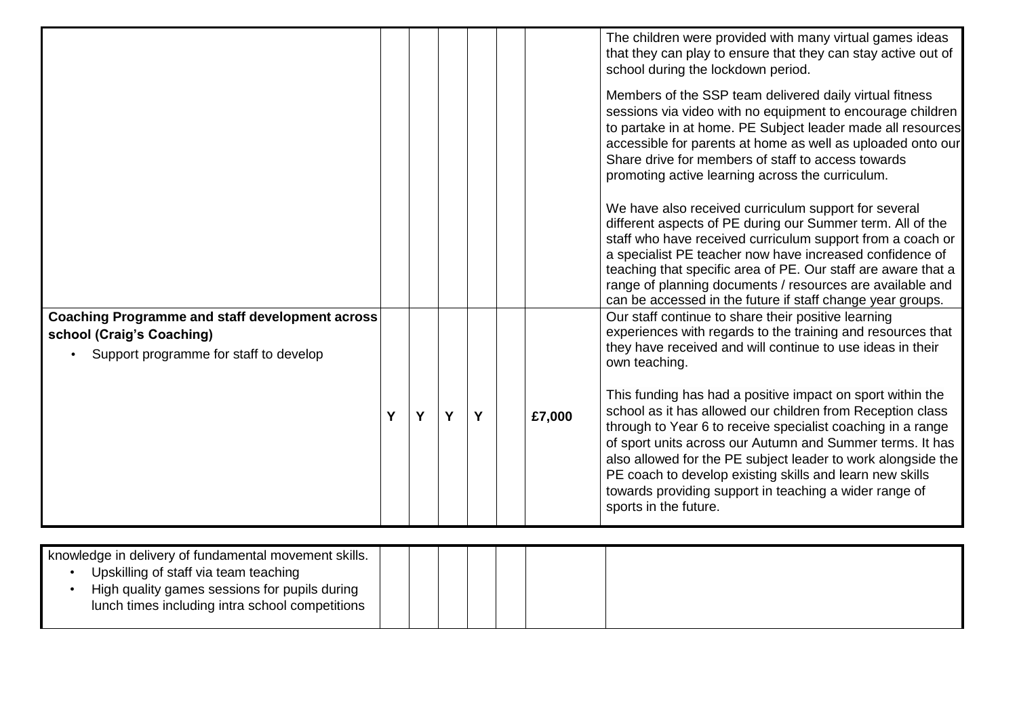|                                                                                                                               |   |   |   |   |        | The children were provided with many virtual games ideas<br>that they can play to ensure that they can stay active out of<br>school during the lockdown period.                                                                                                                                                                                                                                                                                                     |
|-------------------------------------------------------------------------------------------------------------------------------|---|---|---|---|--------|---------------------------------------------------------------------------------------------------------------------------------------------------------------------------------------------------------------------------------------------------------------------------------------------------------------------------------------------------------------------------------------------------------------------------------------------------------------------|
|                                                                                                                               |   |   |   |   |        | Members of the SSP team delivered daily virtual fitness<br>sessions via video with no equipment to encourage children<br>to partake in at home. PE Subject leader made all resources<br>accessible for parents at home as well as uploaded onto our<br>Share drive for members of staff to access towards<br>promoting active learning across the curriculum.                                                                                                       |
|                                                                                                                               |   |   |   |   |        | We have also received curriculum support for several<br>different aspects of PE during our Summer term. All of the<br>staff who have received curriculum support from a coach or<br>a specialist PE teacher now have increased confidence of<br>teaching that specific area of PE. Our staff are aware that a<br>range of planning documents / resources are available and<br>can be accessed in the future if staff change year groups.                            |
| <b>Coaching Programme and staff development across</b><br>school (Craig's Coaching)<br>Support programme for staff to develop |   |   |   |   |        | Our staff continue to share their positive learning<br>experiences with regards to the training and resources that<br>they have received and will continue to use ideas in their<br>own teaching.                                                                                                                                                                                                                                                                   |
|                                                                                                                               | Y | Y | Y | Y | £7,000 | This funding has had a positive impact on sport within the<br>school as it has allowed our children from Reception class<br>through to Year 6 to receive specialist coaching in a range<br>of sport units across our Autumn and Summer terms. It has<br>also allowed for the PE subject leader to work alongside the<br>PE coach to develop existing skills and learn new skills<br>towards providing support in teaching a wider range of<br>sports in the future. |
| knowledge in delivery of fundamental movement skills.                                                                         |   |   |   |   |        |                                                                                                                                                                                                                                                                                                                                                                                                                                                                     |

| knowledge in delivery of fundamental movement skills. |  |  |  |  |
|-------------------------------------------------------|--|--|--|--|
| Upskilling of staff via team teaching                 |  |  |  |  |
| High quality games sessions for pupils during         |  |  |  |  |
| lunch times including intra school competitions       |  |  |  |  |
|                                                       |  |  |  |  |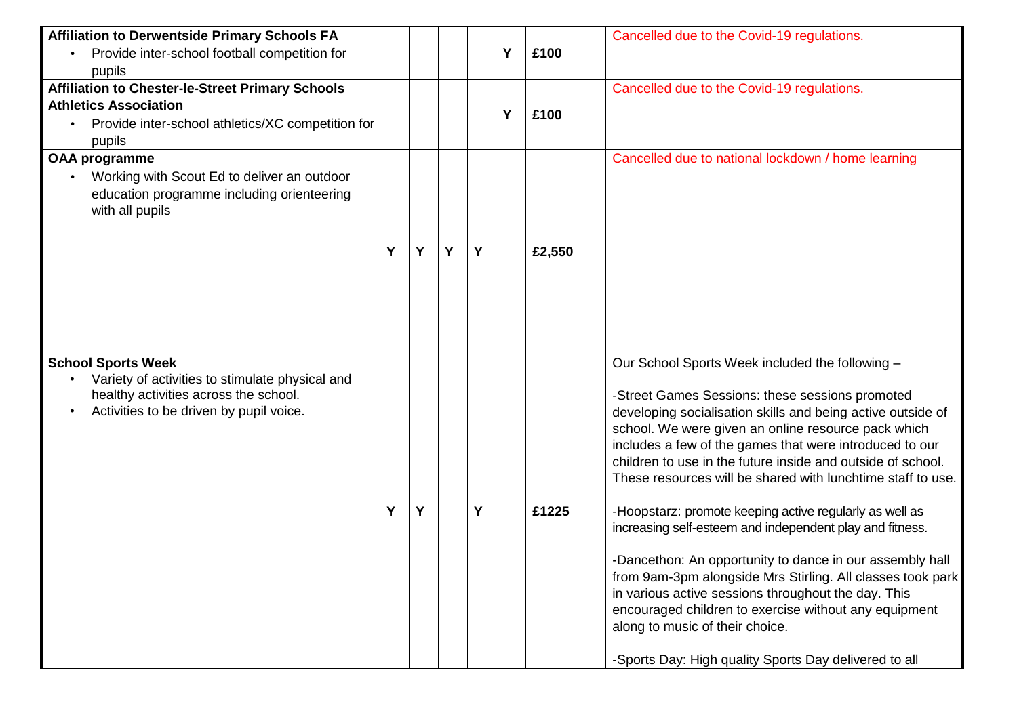| <b>Affiliation to Derwentside Primary Schools FA</b>    |   |   |   |   |   |        | Cancelled due to the Covid-19 regulations.                                                                         |
|---------------------------------------------------------|---|---|---|---|---|--------|--------------------------------------------------------------------------------------------------------------------|
| Provide inter-school football competition for           |   |   |   |   | Y | £100   |                                                                                                                    |
| pupils                                                  |   |   |   |   |   |        |                                                                                                                    |
| <b>Affiliation to Chester-le-Street Primary Schools</b> |   |   |   |   |   |        | Cancelled due to the Covid-19 regulations.                                                                         |
| <b>Athletics Association</b>                            |   |   |   |   | Y | £100   |                                                                                                                    |
| Provide inter-school athletics/XC competition for       |   |   |   |   |   |        |                                                                                                                    |
| pupils                                                  |   |   |   |   |   |        |                                                                                                                    |
| <b>OAA programme</b>                                    |   |   |   |   |   |        | Cancelled due to national lockdown / home learning                                                                 |
| Working with Scout Ed to deliver an outdoor             |   |   |   |   |   |        |                                                                                                                    |
| education programme including orienteering              |   |   |   |   |   |        |                                                                                                                    |
| with all pupils                                         |   |   |   |   |   |        |                                                                                                                    |
|                                                         |   |   |   |   |   |        |                                                                                                                    |
|                                                         | Y | Y | Y | Υ |   | £2,550 |                                                                                                                    |
|                                                         |   |   |   |   |   |        |                                                                                                                    |
|                                                         |   |   |   |   |   |        |                                                                                                                    |
|                                                         |   |   |   |   |   |        |                                                                                                                    |
|                                                         |   |   |   |   |   |        |                                                                                                                    |
|                                                         |   |   |   |   |   |        |                                                                                                                    |
| <b>School Sports Week</b>                               |   |   |   |   |   |        | Our School Sports Week included the following -                                                                    |
| Variety of activities to stimulate physical and         |   |   |   |   |   |        |                                                                                                                    |
| healthy activities across the school.                   |   |   |   |   |   |        | -Street Games Sessions: these sessions promoted                                                                    |
| Activities to be driven by pupil voice.                 |   |   |   |   |   |        | developing socialisation skills and being active outside of<br>school. We were given an online resource pack which |
|                                                         |   |   |   |   |   |        | includes a few of the games that were introduced to our                                                            |
|                                                         |   |   |   |   |   |        | children to use in the future inside and outside of school.                                                        |
|                                                         |   |   |   |   |   |        | These resources will be shared with lunchtime staff to use.                                                        |
|                                                         |   |   |   |   |   |        |                                                                                                                    |
|                                                         | Y | Y |   | Υ |   | £1225  | -Hoopstarz: promote keeping active regularly as well as                                                            |
|                                                         |   |   |   |   |   |        | increasing self-esteem and independent play and fitness.                                                           |
|                                                         |   |   |   |   |   |        |                                                                                                                    |
|                                                         |   |   |   |   |   |        | -Dancethon: An opportunity to dance in our assembly hall                                                           |
|                                                         |   |   |   |   |   |        | from 9am-3pm alongside Mrs Stirling. All classes took park<br>in various active sessions throughout the day. This  |
|                                                         |   |   |   |   |   |        | encouraged children to exercise without any equipment                                                              |
|                                                         |   |   |   |   |   |        | along to music of their choice.                                                                                    |
|                                                         |   |   |   |   |   |        |                                                                                                                    |
|                                                         |   |   |   |   |   |        | -Sports Day: High quality Sports Day delivered to all                                                              |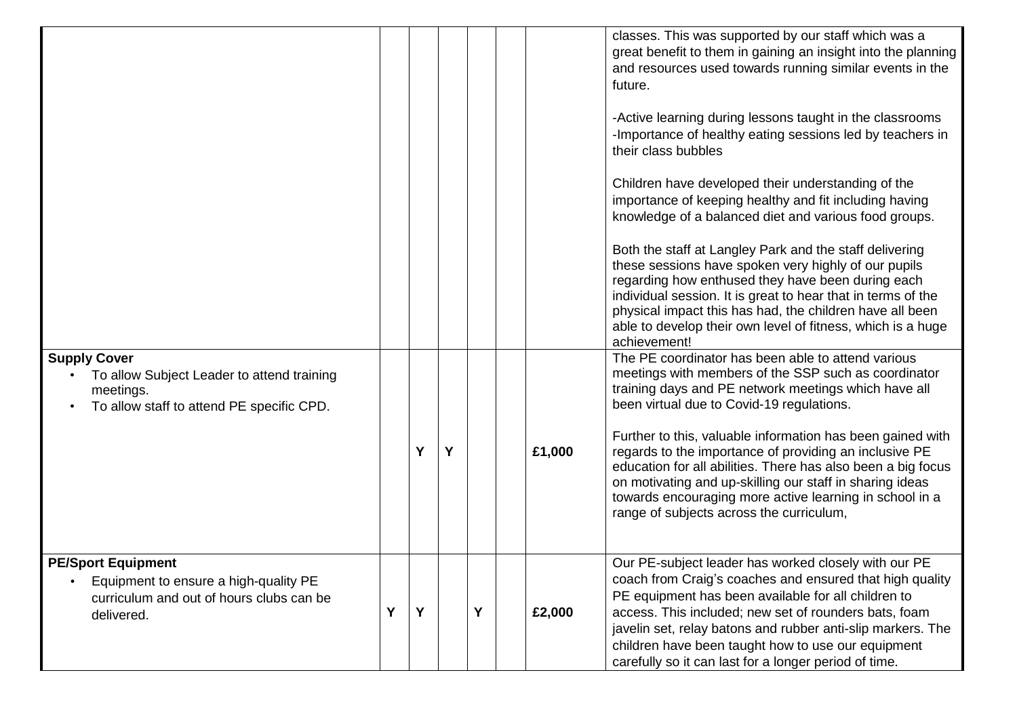|                                                                                                                              |   |   |   |   |        | classes. This was supported by our staff which was a<br>great benefit to them in gaining an insight into the planning<br>and resources used towards running similar events in the<br>future.                                                                                                                                                                                                                   |
|------------------------------------------------------------------------------------------------------------------------------|---|---|---|---|--------|----------------------------------------------------------------------------------------------------------------------------------------------------------------------------------------------------------------------------------------------------------------------------------------------------------------------------------------------------------------------------------------------------------------|
|                                                                                                                              |   |   |   |   |        | -Active learning during lessons taught in the classrooms<br>-Importance of healthy eating sessions led by teachers in<br>their class bubbles                                                                                                                                                                                                                                                                   |
|                                                                                                                              |   |   |   |   |        | Children have developed their understanding of the<br>importance of keeping healthy and fit including having<br>knowledge of a balanced diet and various food groups.                                                                                                                                                                                                                                          |
|                                                                                                                              |   |   |   |   |        | Both the staff at Langley Park and the staff delivering<br>these sessions have spoken very highly of our pupils<br>regarding how enthused they have been during each<br>individual session. It is great to hear that in terms of the<br>physical impact this has had, the children have all been<br>able to develop their own level of fitness, which is a huge<br>achievement!                                |
| <b>Supply Cover</b><br>To allow Subject Leader to attend training<br>meetings.<br>To allow staff to attend PE specific CPD.  |   |   |   |   |        | The PE coordinator has been able to attend various<br>meetings with members of the SSP such as coordinator<br>training days and PE network meetings which have all<br>been virtual due to Covid-19 regulations.                                                                                                                                                                                                |
|                                                                                                                              |   | Y | Y |   | £1,000 | Further to this, valuable information has been gained with<br>regards to the importance of providing an inclusive PE<br>education for all abilities. There has also been a big focus<br>on motivating and up-skilling our staff in sharing ideas<br>towards encouraging more active learning in school in a<br>range of subjects across the curriculum,                                                        |
| <b>PE/Sport Equipment</b><br>Equipment to ensure a high-quality PE<br>curriculum and out of hours clubs can be<br>delivered. | Y | Y |   | Y | £2,000 | Our PE-subject leader has worked closely with our PE<br>coach from Craig's coaches and ensured that high quality<br>PE equipment has been available for all children to<br>access. This included; new set of rounders bats, foam<br>javelin set, relay batons and rubber anti-slip markers. The<br>children have been taught how to use our equipment<br>carefully so it can last for a longer period of time. |